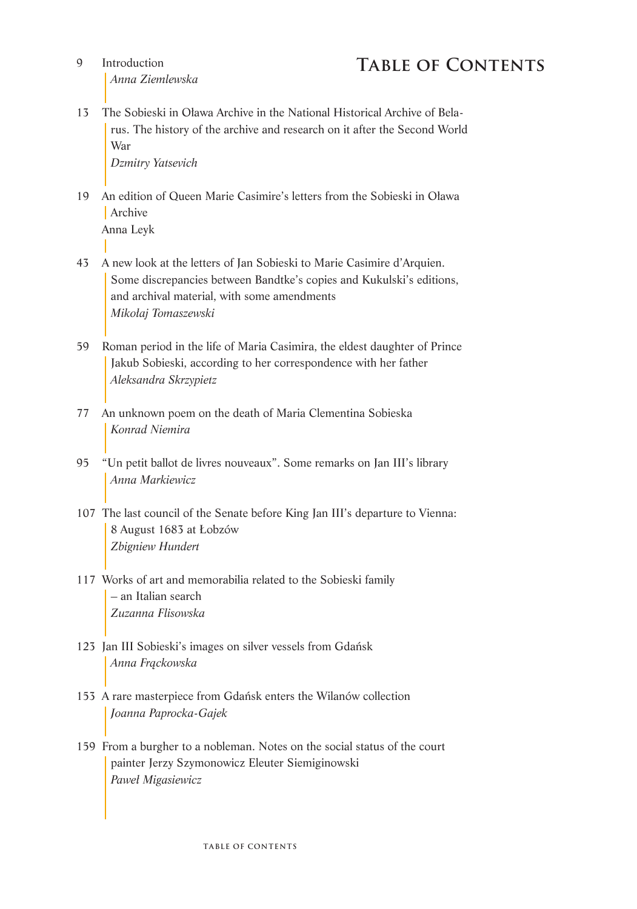- $\Omega$ *Anna Ziemlewska*
- 13 The Sobieski in Oława Archive in the National Historical Archive of Belarus. The history of the archive and research on it after the Second World War

*Dzmitry Yatsevich*

- 19 An edition of Queen Marie Casimire's letters from the Sobieski in Oława **Archive** Anna Leyk
- 43 A new look at the letters of Jan Sobieski to Marie Casimire d'Arquien. Some discrepancies between Bandtke's copies and Kukulski's editions, and archival material, with some amendments *Mikołaj Tomaszewski*
- 59 Roman period in the life of Maria Casimira, the eldest daughter of Prince Jakub Sobieski, according to her correspondence with her father *Aleksandra Skrzypietz*
- 77 An unknown poem on the death of Maria Clementina Sobieska *Konrad Niemira*
- 95 "Un petit ballot de livres nouveaux". Some remarks on Jan III's library *Anna Markiewicz*
- 107 The last council of the Senate before King Jan III's departure to Vienna: 8 August 1683 at Łobzów *Zbigniew Hundert*
- 117 Works of art and memorabilia related to the Sobieski family – an Italian search *Zuzanna Flisowska*
- 123 Jan III Sobieski's images on silver vessels from Gdańsk *Anna Frąckowska*
- 153 A rare masterpiece from Gdańsk enters the Wilanów collection *Joanna Paprocka-Gajek*
- 159 From a burgher to a nobleman. Notes on the social status of the court painter Jerzy Szymonowicz Eleuter Siemiginowski *Paweł Migasiewicz*